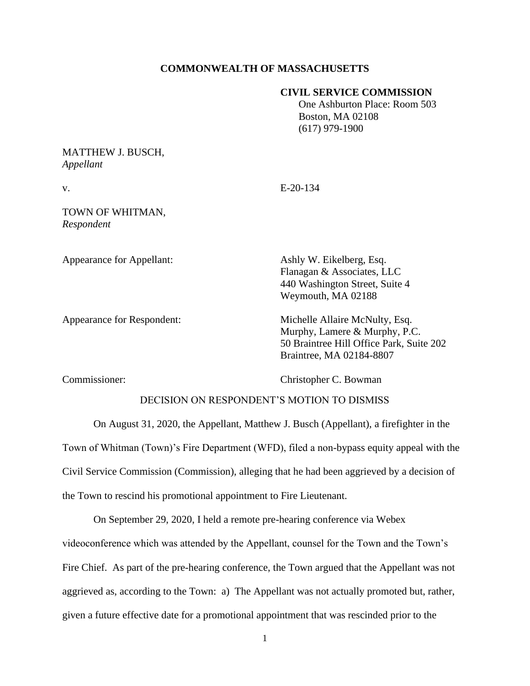## **COMMONWEALTH OF MASSACHUSETTS**

## **CIVIL SERVICE COMMISSION**

 One Ashburton Place: Room 503 Boston, MA 02108 (617) 979-1900

# MATTHEW J. BUSCH, *Appellant*

v. E-20-134

#### TOWN OF WHITMAN, *Respondent*

Appearance for Appellant: Ashly W. Eikelberg, Esq.

Flanagan & Associates, LLC 440 Washington Street, Suite 4 Weymouth, MA 02188

Appearance for Respondent: Michelle Allaire McNulty, Esq. Murphy, Lamere & Murphy, P.C. 50 Braintree Hill Office Park, Suite 202 Braintree, MA 02184-8807

Commissioner: Christopher C. Bowman

# DECISION ON RESPONDENT'S MOTION TO DISMISS

On August 31, 2020, the Appellant, Matthew J. Busch (Appellant), a firefighter in the Town of Whitman (Town)'s Fire Department (WFD), filed a non-bypass equity appeal with the Civil Service Commission (Commission), alleging that he had been aggrieved by a decision of the Town to rescind his promotional appointment to Fire Lieutenant.

On September 29, 2020, I held a remote pre-hearing conference via Webex

videoconference which was attended by the Appellant, counsel for the Town and the Town's Fire Chief. As part of the pre-hearing conference, the Town argued that the Appellant was not aggrieved as, according to the Town: a) The Appellant was not actually promoted but, rather, given a future effective date for a promotional appointment that was rescinded prior to the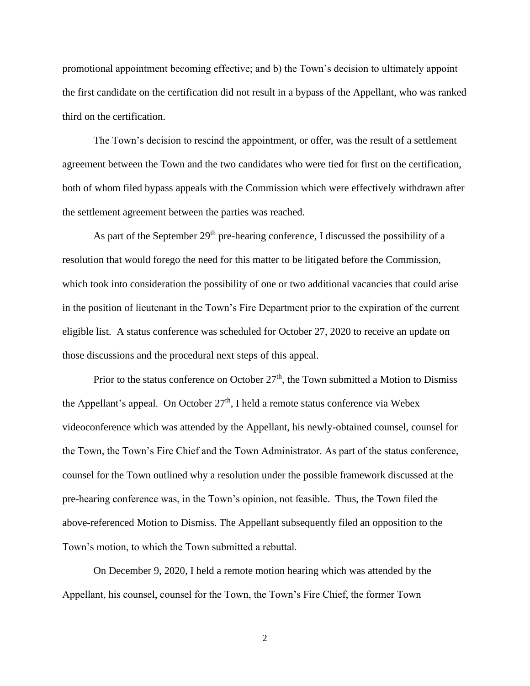promotional appointment becoming effective; and b) the Town's decision to ultimately appoint the first candidate on the certification did not result in a bypass of the Appellant, who was ranked third on the certification.

The Town's decision to rescind the appointment, or offer, was the result of a settlement agreement between the Town and the two candidates who were tied for first on the certification, both of whom filed bypass appeals with the Commission which were effectively withdrawn after the settlement agreement between the parties was reached.

As part of the September  $29<sup>th</sup>$  pre-hearing conference, I discussed the possibility of a resolution that would forego the need for this matter to be litigated before the Commission, which took into consideration the possibility of one or two additional vacancies that could arise in the position of lieutenant in the Town's Fire Department prior to the expiration of the current eligible list. A status conference was scheduled for October 27, 2020 to receive an update on those discussions and the procedural next steps of this appeal.

Prior to the status conference on October  $27<sup>th</sup>$ , the Town submitted a Motion to Dismiss the Appellant's appeal. On October  $27<sup>th</sup>$ , I held a remote status conference via Webex videoconference which was attended by the Appellant, his newly-obtained counsel, counsel for the Town, the Town's Fire Chief and the Town Administrator. As part of the status conference, counsel for the Town outlined why a resolution under the possible framework discussed at the pre-hearing conference was, in the Town's opinion, not feasible. Thus, the Town filed the above-referenced Motion to Dismiss. The Appellant subsequently filed an opposition to the Town's motion, to which the Town submitted a rebuttal.

On December 9, 2020, I held a remote motion hearing which was attended by the Appellant, his counsel, counsel for the Town, the Town's Fire Chief, the former Town

2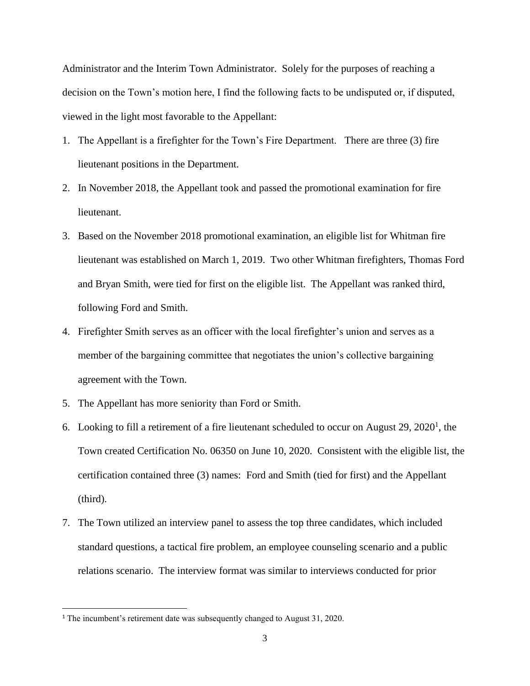Administrator and the Interim Town Administrator. Solely for the purposes of reaching a decision on the Town's motion here, I find the following facts to be undisputed or, if disputed, viewed in the light most favorable to the Appellant:

- 1. The Appellant is a firefighter for the Town's Fire Department. There are three (3) fire lieutenant positions in the Department.
- 2. In November 2018, the Appellant took and passed the promotional examination for fire lieutenant.
- 3. Based on the November 2018 promotional examination, an eligible list for Whitman fire lieutenant was established on March 1, 2019. Two other Whitman firefighters, Thomas Ford and Bryan Smith, were tied for first on the eligible list. The Appellant was ranked third, following Ford and Smith.
- 4. Firefighter Smith serves as an officer with the local firefighter's union and serves as a member of the bargaining committee that negotiates the union's collective bargaining agreement with the Town.
- 5. The Appellant has more seniority than Ford or Smith.
- 6. Looking to fill a retirement of a fire lieutenant scheduled to occur on August  $29, 2020<sup>1</sup>$ , the Town created Certification No. 06350 on June 10, 2020. Consistent with the eligible list, the certification contained three (3) names: Ford and Smith (tied for first) and the Appellant (third).
- 7. The Town utilized an interview panel to assess the top three candidates, which included standard questions, a tactical fire problem, an employee counseling scenario and a public relations scenario. The interview format was similar to interviews conducted for prior

<sup>&</sup>lt;sup>1</sup> The incumbent's retirement date was subsequently changed to August 31, 2020.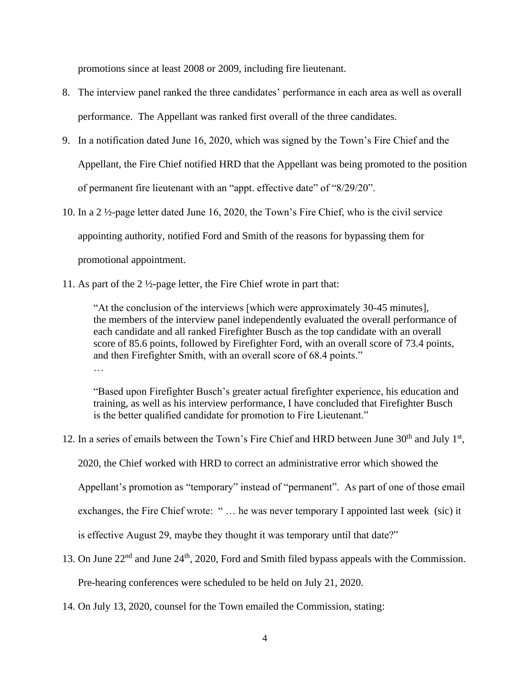promotions since at least 2008 or 2009, including fire lieutenant.

- 8. The interview panel ranked the three candidates' performance in each area as well as overall performance. The Appellant was ranked first overall of the three candidates.
- 9. In a notification dated June 16, 2020, which was signed by the Town's Fire Chief and the Appellant, the Fire Chief notified HRD that the Appellant was being promoted to the position of permanent fire lieutenant with an "appt. effective date" of "8/29/20".
- 10. In a 2 ½-page letter dated June 16, 2020, the Town's Fire Chief, who is the civil service appointing authority, notified Ford and Smith of the reasons for bypassing them for promotional appointment.
- 11. As part of the 2 ½-page letter, the Fire Chief wrote in part that:

"At the conclusion of the interviews [which were approximately 30-45 minutes], the members of the interview panel independently evaluated the overall performance of each candidate and all ranked Firefighter Busch as the top candidate with an overall score of 85.6 points, followed by Firefighter Ford, with an overall score of 73.4 points, and then Firefighter Smith, with an overall score of 68.4 points." …

"Based upon Firefighter Busch's greater actual firefighter experience, his education and training, as well as his interview performance, I have concluded that Firefighter Busch is the better qualified candidate for promotion to Fire Lieutenant."

12. In a series of emails between the Town's Fire Chief and HRD between June  $30<sup>th</sup>$  and July  $1<sup>st</sup>$ ,

2020, the Chief worked with HRD to correct an administrative error which showed the

Appellant's promotion as "temporary" instead of "permanent". As part of one of those email

exchanges, the Fire Chief wrote: " … he was never temporary I appointed last week (sic) it

is effective August 29, maybe they thought it was temporary until that date?"

13. On June 22<sup>nd</sup> and June 24<sup>th</sup>, 2020, Ford and Smith filed bypass appeals with the Commission.

Pre-hearing conferences were scheduled to be held on July 21, 2020.

14. On July 13, 2020, counsel for the Town emailed the Commission, stating: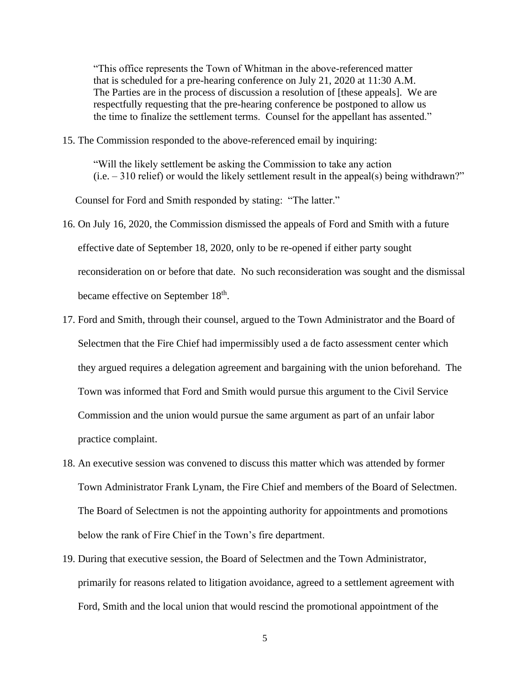"This office represents the Town of Whitman in the above-referenced matter that is scheduled for a pre-hearing conference on July 21, 2020 at 11:30 A.M. The Parties are in the process of discussion a resolution of [these appeals]. We are respectfully requesting that the pre-hearing conference be postponed to allow us the time to finalize the settlement terms. Counsel for the appellant has assented."

15. The Commission responded to the above-referenced email by inquiring:

"Will the likely settlement be asking the Commission to take any action  $(i.e. -310$  relief) or would the likely settlement result in the appeal(s) being withdrawn?"

Counsel for Ford and Smith responded by stating: "The latter."

- 16. On July 16, 2020, the Commission dismissed the appeals of Ford and Smith with a future effective date of September 18, 2020, only to be re-opened if either party sought reconsideration on or before that date. No such reconsideration was sought and the dismissal became effective on September 18<sup>th</sup>.
- 17. Ford and Smith, through their counsel, argued to the Town Administrator and the Board of Selectmen that the Fire Chief had impermissibly used a de facto assessment center which they argued requires a delegation agreement and bargaining with the union beforehand. The Town was informed that Ford and Smith would pursue this argument to the Civil Service Commission and the union would pursue the same argument as part of an unfair labor practice complaint.
- 18. An executive session was convened to discuss this matter which was attended by former Town Administrator Frank Lynam, the Fire Chief and members of the Board of Selectmen. The Board of Selectmen is not the appointing authority for appointments and promotions below the rank of Fire Chief in the Town's fire department.
- 19. During that executive session, the Board of Selectmen and the Town Administrator, primarily for reasons related to litigation avoidance, agreed to a settlement agreement with Ford, Smith and the local union that would rescind the promotional appointment of the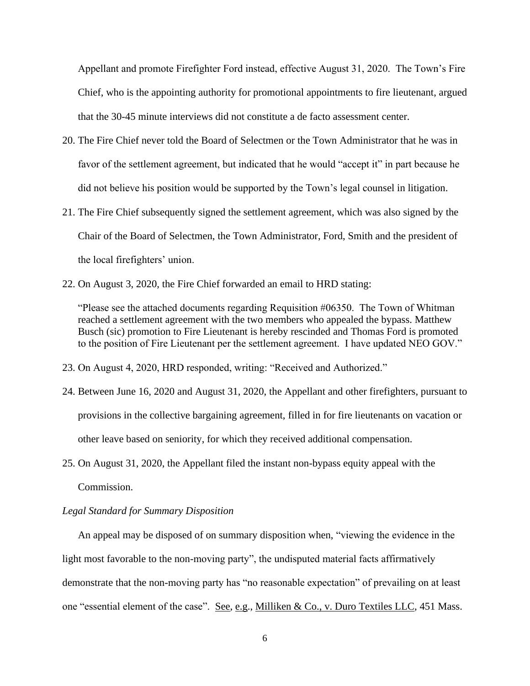Appellant and promote Firefighter Ford instead, effective August 31, 2020. The Town's Fire Chief, who is the appointing authority for promotional appointments to fire lieutenant, argued that the 30-45 minute interviews did not constitute a de facto assessment center.

- 20. The Fire Chief never told the Board of Selectmen or the Town Administrator that he was in favor of the settlement agreement, but indicated that he would "accept it" in part because he did not believe his position would be supported by the Town's legal counsel in litigation.
- 21. The Fire Chief subsequently signed the settlement agreement, which was also signed by the Chair of the Board of Selectmen, the Town Administrator, Ford, Smith and the president of the local firefighters' union.
- 22. On August 3, 2020, the Fire Chief forwarded an email to HRD stating:

"Please see the attached documents regarding Requisition #06350. The Town of Whitman reached a settlement agreement with the two members who appealed the bypass. Matthew Busch (sic) promotion to Fire Lieutenant is hereby rescinded and Thomas Ford is promoted to the position of Fire Lieutenant per the settlement agreement. I have updated NEO GOV."

- 23. On August 4, 2020, HRD responded, writing: "Received and Authorized."
- 24. Between June 16, 2020 and August 31, 2020, the Appellant and other firefighters, pursuant to provisions in the collective bargaining agreement, filled in for fire lieutenants on vacation or other leave based on seniority, for which they received additional compensation.
- 25. On August 31, 2020, the Appellant filed the instant non-bypass equity appeal with the Commission.

# *Legal Standard for Summary Disposition*

An appeal may be disposed of on summary disposition when, "viewing the evidence in the light most favorable to the non-moving party", the undisputed material facts affirmatively demonstrate that the non-moving party has "no reasonable expectation" of prevailing on at least one "essential element of the case". See, e.g., Milliken & Co., v. Duro Textiles LLC, 451 Mass.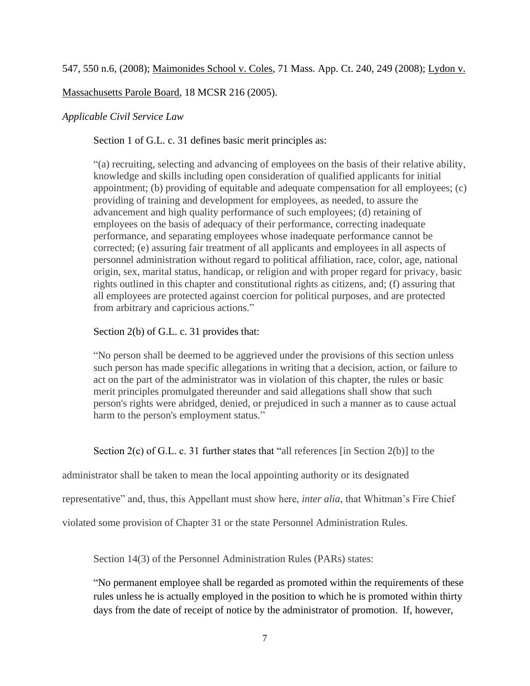Massachusetts Parole Board, 18 MCSR 216 (2005).

# *Applicable Civil Service Law*

Section 1 of G.L. c. 31 defines basic merit principles as:

"(a) recruiting, selecting and advancing of employees on the basis of their relative ability, knowledge and skills including open consideration of qualified applicants for initial appointment; (b) providing of equitable and adequate compensation for all employees; (c) providing of training and development for employees, as needed, to assure the advancement and high quality performance of such employees; (d) retaining of employees on the basis of adequacy of their performance, correcting inadequate performance, and separating employees whose inadequate performance cannot be corrected; (e) assuring fair treatment of all applicants and employees in all aspects of personnel administration without regard to political affiliation, race, color, age, national origin, sex, marital status, handicap, or religion and with proper regard for privacy, basic rights outlined in this chapter and constitutional rights as citizens, and; (f) assuring that all employees are protected against coercion for political purposes, and are protected from arbitrary and capricious actions."

# Section 2(b) of G.L. c. 31 provides that:

"No person shall be deemed to be aggrieved under the provisions of this section unless such person has made specific allegations in writing that a decision, action, or failure to act on the part of the administrator was in violation of this chapter, the rules or basic merit principles promulgated thereunder and said allegations shall show that such person's rights were abridged, denied, or prejudiced in such a manner as to cause actual harm to the person's employment status."

Section 2(c) of G.L. c. 31 further states that "all references [in Section 2(b)] to the

administrator shall be taken to mean the local appointing authority or its designated

representative" and, thus, this Appellant must show here, *inter alia*, that Whitman's Fire Chief

violated some provision of Chapter 31 or the state Personnel Administration Rules.

Section 14(3) of the Personnel Administration Rules (PARs) states:

"No permanent employee shall be regarded as promoted within the requirements of these rules unless he is actually employed in the position to which he is promoted within thirty days from the date of receipt of notice by the administrator of promotion. If, however,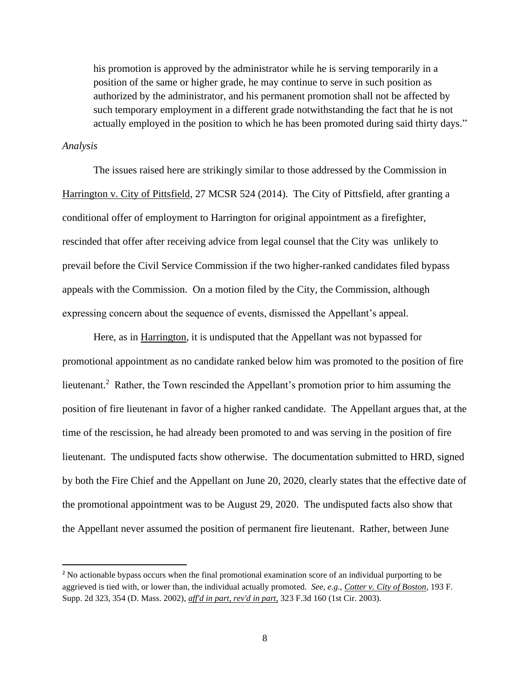his promotion is approved by the administrator while he is serving temporarily in a position of the same or higher grade, he may continue to serve in such position as authorized by the administrator, and his permanent promotion shall not be affected by such temporary employment in a different grade notwithstanding the fact that he is not actually employed in the position to which he has been promoted during said thirty days."

#### *Analysis*

The issues raised here are strikingly similar to those addressed by the Commission in Harrington v. City of Pittsfield, 27 MCSR 524 (2014). The City of Pittsfield, after granting a conditional offer of employment to Harrington for original appointment as a firefighter, rescinded that offer after receiving advice from legal counsel that the City was unlikely to prevail before the Civil Service Commission if the two higher-ranked candidates filed bypass appeals with the Commission. On a motion filed by the City, the Commission, although expressing concern about the sequence of events, dismissed the Appellant's appeal.

Here, as in Harrington, it is undisputed that the Appellant was not bypassed for promotional appointment as no candidate ranked below him was promoted to the position of fire lieutenant.<sup>2</sup> Rather, the Town rescinded the Appellant's promotion prior to him assuming the position of fire lieutenant in favor of a higher ranked candidate. The Appellant argues that, at the time of the rescission, he had already been promoted to and was serving in the position of fire lieutenant. The undisputed facts show otherwise. The documentation submitted to HRD, signed by both the Fire Chief and the Appellant on June 20, 2020, clearly states that the effective date of the promotional appointment was to be August 29, 2020. The undisputed facts also show that the Appellant never assumed the position of permanent fire lieutenant. Rather, between June

<sup>&</sup>lt;sup>2</sup> No actionable bypass occurs when the final promotional examination score of an individual purporting to be aggrieved is tied with, or lower than, the individual actually promoted. *See, e.g., Cotter v. City of Boston*, 193 F. Supp. 2d 323, 354 (D. Mass. 2002), *aff'd in part, rev'd in part*, 323 F.3d 160 (1st Cir. 2003).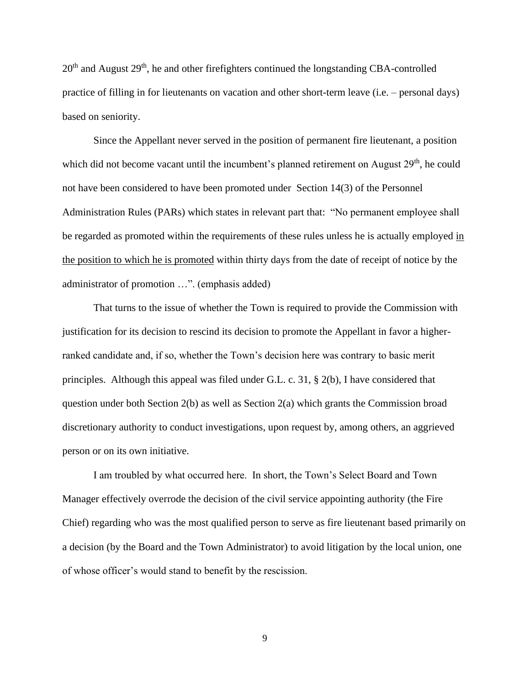$20<sup>th</sup>$  and August  $29<sup>th</sup>$ , he and other firefighters continued the longstanding CBA-controlled practice of filling in for lieutenants on vacation and other short-term leave (i.e. – personal days) based on seniority.

Since the Appellant never served in the position of permanent fire lieutenant, a position which did not become vacant until the incumbent's planned retirement on August  $29<sup>th</sup>$ , he could not have been considered to have been promoted under Section 14(3) of the Personnel Administration Rules (PARs) which states in relevant part that: "No permanent employee shall be regarded as promoted within the requirements of these rules unless he is actually employed in the position to which he is promoted within thirty days from the date of receipt of notice by the administrator of promotion …". (emphasis added)

That turns to the issue of whether the Town is required to provide the Commission with justification for its decision to rescind its decision to promote the Appellant in favor a higherranked candidate and, if so, whether the Town's decision here was contrary to basic merit principles. Although this appeal was filed under G.L. c. 31, § 2(b), I have considered that question under both Section 2(b) as well as Section 2(a) which grants the Commission broad discretionary authority to conduct investigations, upon request by, among others, an aggrieved person or on its own initiative.

I am troubled by what occurred here. In short, the Town's Select Board and Town Manager effectively overrode the decision of the civil service appointing authority (the Fire Chief) regarding who was the most qualified person to serve as fire lieutenant based primarily on a decision (by the Board and the Town Administrator) to avoid litigation by the local union, one of whose officer's would stand to benefit by the rescission.

9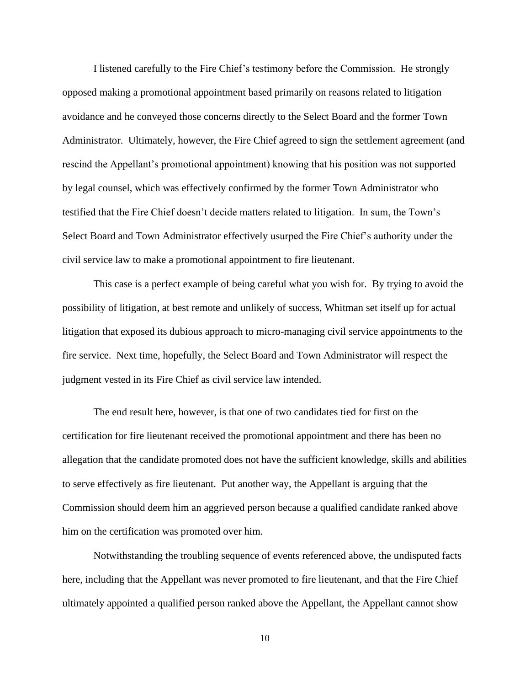I listened carefully to the Fire Chief's testimony before the Commission. He strongly opposed making a promotional appointment based primarily on reasons related to litigation avoidance and he conveyed those concerns directly to the Select Board and the former Town Administrator. Ultimately, however, the Fire Chief agreed to sign the settlement agreement (and rescind the Appellant's promotional appointment) knowing that his position was not supported by legal counsel, which was effectively confirmed by the former Town Administrator who testified that the Fire Chief doesn't decide matters related to litigation. In sum, the Town's Select Board and Town Administrator effectively usurped the Fire Chief's authority under the civil service law to make a promotional appointment to fire lieutenant.

This case is a perfect example of being careful what you wish for. By trying to avoid the possibility of litigation, at best remote and unlikely of success, Whitman set itself up for actual litigation that exposed its dubious approach to micro-managing civil service appointments to the fire service. Next time, hopefully, the Select Board and Town Administrator will respect the judgment vested in its Fire Chief as civil service law intended.

The end result here, however, is that one of two candidates tied for first on the certification for fire lieutenant received the promotional appointment and there has been no allegation that the candidate promoted does not have the sufficient knowledge, skills and abilities to serve effectively as fire lieutenant. Put another way, the Appellant is arguing that the Commission should deem him an aggrieved person because a qualified candidate ranked above him on the certification was promoted over him.

 Notwithstanding the troubling sequence of events referenced above, the undisputed facts here, including that the Appellant was never promoted to fire lieutenant, and that the Fire Chief ultimately appointed a qualified person ranked above the Appellant, the Appellant cannot show

10